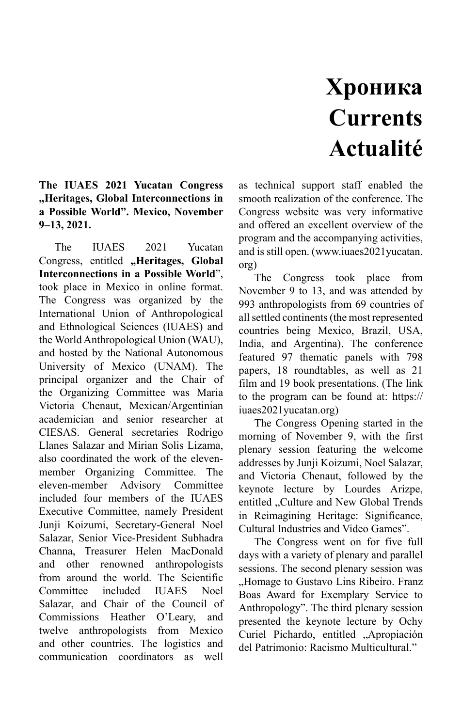## **Хроника Currents Actualité**

## **The IUAES 2021 Yucatan Congress "Heritages, Global Interconnections in a Possible World". Mexico, November 9–13, 2021.**

The IUAES 2021 Yucatan Congress, entitled "Heritages, Global **Interconnections in a Possible World**", took place in Mexico in online format. The Congress was organized by the International Union of Anthropological and Ethnological Sciences (IUAES) and the World Anthropological Union (WAU), and hosted by the National Autonomous University of Mexico (UNAM). The principal organizer and the Chair of the Organizing Committee was Maria Victoria Chenaut, Mexican/Argentinian academician and senior researcher at CIESAS. General secretaries Rodrigo Llanes Salazar and Mirian Solis Lizama, also coordinated the work of the elevenmember Organizing Committee. The eleven-member Advisory Committee included four members of the IUAES Executive Committee, namely President Junji Koizumi, Secretary-General Noel Salazar, Senior Vice-President Subhadra Channa, Treasurer Helen MacDonald and other renowned anthropologists from around the world. The Scientific Committee included IUAES Noel Salazar, and Chair of the Council of Commissions Heather O'Leary, and twelve anthropologists from Mexico and other countries. The logistics and communication coordinators as well

as technical support staff enabled the smooth realization of the conference. The Congress website was very informative and offered an excellent overview of the program and the accompanying activities, and is still open. (www.iuaes2021yucatan. org)

The Congress took place from November 9 to 13, and was attended by 993 anthropologists from 69 countries of all settled continents (the most represented countries being Mexico, Brazil, USA, India, and Argentina). The conference featured 97 thematic panels with 798 papers, 18 roundtables, as well as 21 film and 19 book presentations. (The link to the program can be found at: https:// iuaes2021yucatan.org)

The Congress Opening started in the morning of November 9, with the first plenary session featuring the welcome addresses by Junji Koizumi, Noel Salazar, and Victoria Chenaut, followed by the keynote lecture by Lourdes Arizpe, entitled "Culture and New Global Trends in Reimagining Heritage: Significance, Cultural Industries and Video Games".

The Congress went on for five full days with a variety of plenary and parallel sessions. The second plenary session was ..Homage to Gustavo Lins Ribeiro. Franz Boas Award for Exemplary Service to Anthropology". The third plenary session presented the keynote lecture by Ochy Curiel Pichardo, entitled "Apropiación del Patrimonio: Racismo Multicultural."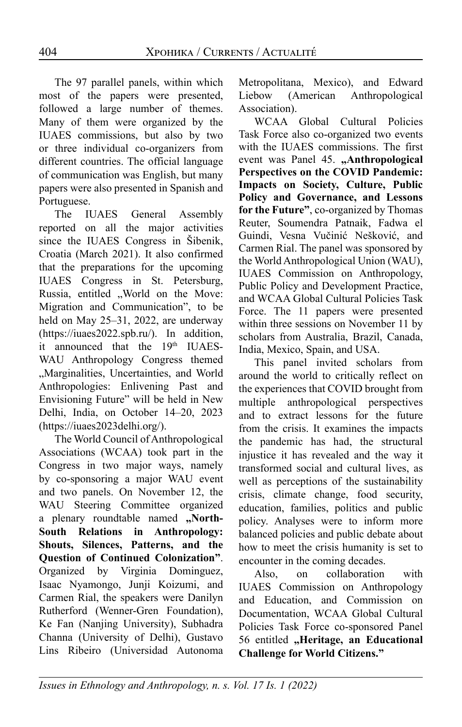The 97 parallel panels, within which most of the papers were presented, followed a large number of themes. Many of them were organized by the IUAES commissions, but also by two or three individual co-organizers from different countries. The official language of communication was English, but many papers were also presented in Spanish and Portuguese.

The IUAES General Assembly reported on all the major activities since the IUAES Congress in Šibenik, Croatia (March 2021). It also confirmed that the preparations for the upcoming IUAES Congress in St. Petersburg, Russia, entitled ..World on the Move: Migration and Communication", to be held on May 25–31, 2022, are underway (https://iuaes2022.spb.ru/). In addition, it announced that the 19<sup>th</sup> IUAES-WAU Anthropology Congress themed "Marginalities, Uncertainties, and World Anthropologies: Enlivening Past and Envisioning Future" will be held in New Delhi, India, on October 14–20, 2023 (https://iuaes2023delhi.org/).

The World Council of Anthropological Associations (WCAA) took part in the Congress in two major ways, namely by co-sponsoring a major WAU event and two panels. On November 12, the WAU Steering Committee organized a plenary roundtable named "North-**South Relations in Anthropology: Shouts, Silences, Patterns, and the Question of Continued Colonization"**. Organized by Virginia Dominguez, Isaac Nyamongo, Junji Koizumi, and Carmen Rial, the speakers were Danilyn Rutherford (Wenner-Gren Foundation), Ke Fan (Nanjing University), Subhadra Channa (University of Delhi), Gustavo Lins Ribeiro (Universidad Autonoma Metropolitana, Mexico), and Edward Liebow (American Anthropological Association).

WCAA Global Cultural Policies Task Force also co-organized two events with the IUAES commissions. The first event was Panel 45. "Anthropological **Perspectives on the COVID Pandemic: Impacts on Society, Culture, Public Policy and Governance, and Lessons for the Future"**, co-organized by Thomas Reuter, Soumendra Patnaik, Fadwa el Guindi, Vesna Vučinić Nešković, and Carmen Rial. The panel was sponsored by the World Anthropological Union (WAU), IUAES Commission on Anthropology, Public Policy and Development Practice, and WCAA Global Cultural Policies Task Force. The 11 papers were presented within three sessions on November 11 by scholars from Australia, Brazil, Canada, India, Mexico, Spain, and USA.

This panel invited scholars from around the world to critically reflect on the experiences that COVID brought from multiple anthropological perspectives and to extract lessons for the future from the crisis. It examines the impacts the pandemic has had, the structural injustice it has revealed and the way it transformed social and cultural lives, as well as perceptions of the sustainability crisis, climate change, food security, education, families, politics and public policy. Analyses were to inform more balanced policies and public debate about how to meet the crisis humanity is set to encounter in the coming decades.

Also, on collaboration with IUAES Commission on Anthropology and Education, and Commission on Documentation, WCAA Global Cultural Policies Task Force co-sponsored Panel 56 entitled **"Heritage, an Educational Challenge for World Citizens."**